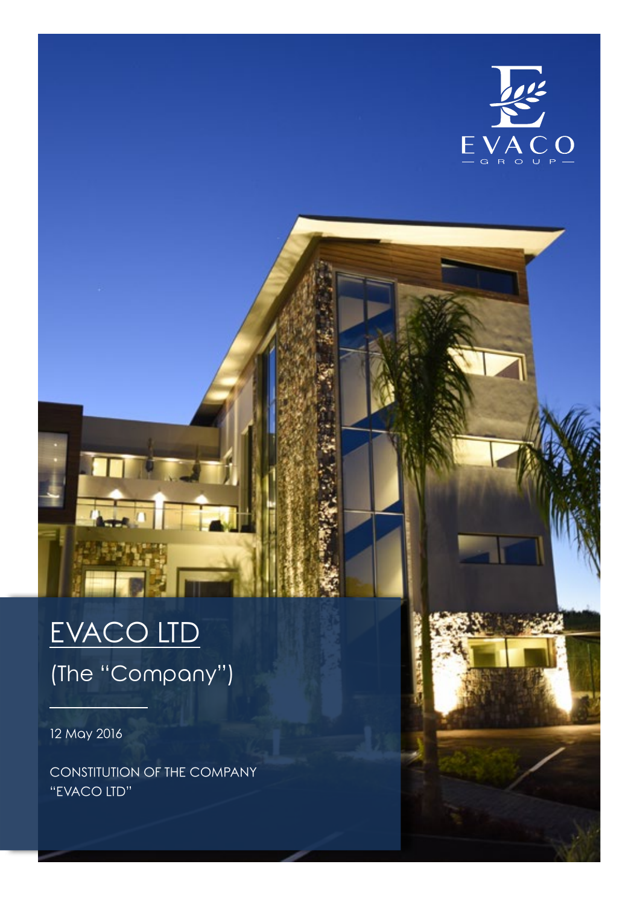

# EVACO LTD

(The "Company")

12 May 2016

CONSTITUTION OF THE COMPANY "EVACO LTD"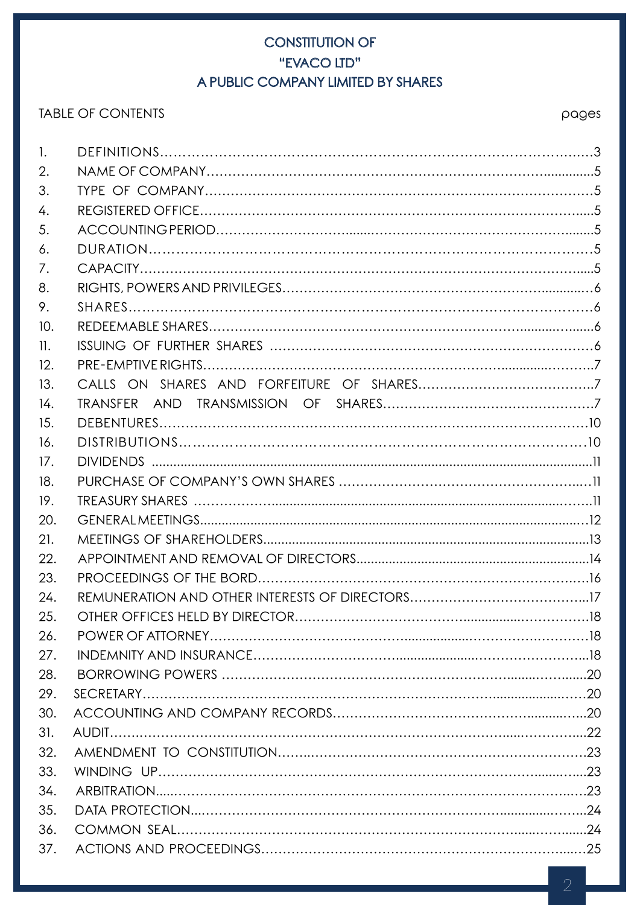# CONSTITUTION OF "EVACO LTD" A PUBLIC COMPANY LIMITED BY SHARES

# TABLE OF CONTENTS And the state of the state of the state of the state of the state of the state of the state of the state of the state of the state of the state of the state of the state of the state of the state of the s

| 1.  |  |
|-----|--|
| 2.  |  |
| 3.  |  |
| 4.  |  |
| 5.  |  |
| 6.  |  |
| 7.  |  |
| 8.  |  |
| 9.  |  |
| 10. |  |
| 11. |  |
| 12. |  |
| 13. |  |
| 14. |  |
| 15. |  |
| 16. |  |
| 17. |  |
| 18. |  |
| 19. |  |
| 20. |  |
| 21. |  |
| 22. |  |
| 23. |  |
| 24. |  |
| 25. |  |
| 26. |  |
| 27. |  |
| 28. |  |
| 29. |  |
| 30. |  |
| 31. |  |
| 32. |  |
| 33. |  |
| 34. |  |
| 35. |  |
| 36. |  |
| 37. |  |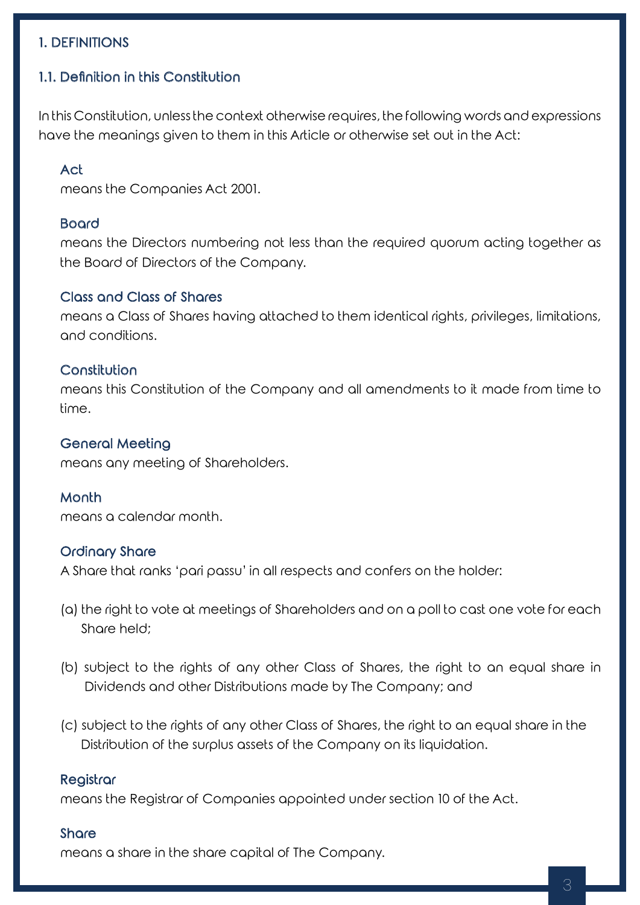## 1. DEFINITIONS

## 1.1. Definition in this Constitution

In this Constitution, unless the context otherwise requires, the following words and expressions have the meanings given to them in this Article or otherwise set out in the Act:

#### Act

means the Companies Act 2001.

#### Board

means the Directors numbering not less than the required quorum acting together as the Board of Directors of the Company.

#### Class and Class of Shares

means a Class of Shares having attached to them identical rights, privileges, limitations, and conditions.

#### Constitution

means this Constitution of the Company and all amendments to it made from time to time.

#### General Meeting

means any meeting of Shareholders.

#### **Month**

means a calendar month.

#### Ordinary Share

A Share that ranks 'pari passu' in all respects and confers on the holder:

- (a) the right to vote at meetings of Shareholders and on a poll to cast one vote for each Share held;
- (b) subject to the rights of any other Class of Shares, the right to an equal share in Dividends and other Distributions made by The Company; and
- (c) subject to the rights of any other Class of Shares, the right to an equal share in the Distribution of the surplus assets of the Company on its liquidation.

#### **Registrar**

means the Registrar of Companies appointed under section 10 of the Act.

#### **Share**

means a share in the share capital of The Company.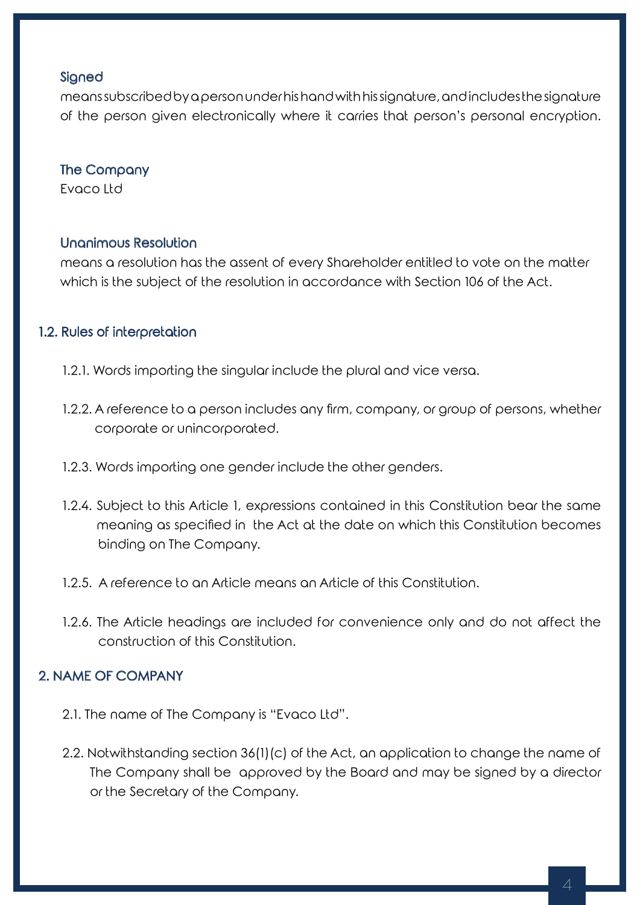#### **Signed**

means subscribed by a person under his hand with his signature, and includes the signature of the person given electronically where it carries that person's personal encryption.

## The Company

Evaco Ltd

### Unanimous Resolution

means a resolution has the assent of every Shareholder entitled to vote on the matter which is the subject of the resolution in accordance with Section 106 of the Act.

## 1.2. Rules of interpretation

- 1.2.1. Words importing the singular include the plural and vice versa.
- 1.2.2. A reference to a person includes any firm, company, or group of persons, whether corporate or unincorporated.
- 1.2.3. Words importing one gender include the other genders.
- 1.2.4. Subject to this Article 1, expressions contained in this Constitution bear the same meaning as specified in the Act at the date on which this Constitution becomes binding on The Company.
- 1.2.5. A reference to an Article means an Article of this Constitution.
- 1.2.6. The Article headings are included for convenience only and do not affect the construction of this Constitution.

# 2. NAME OF COMPANY

- 2.1. The name of The Company is "Evaco Ltd".
- 2.2. Notwithstanding section 36(1)(c) of the Act, an application to change the name of The Company shall be approved by the Board and may be signed by a director or the Secretary of the Company.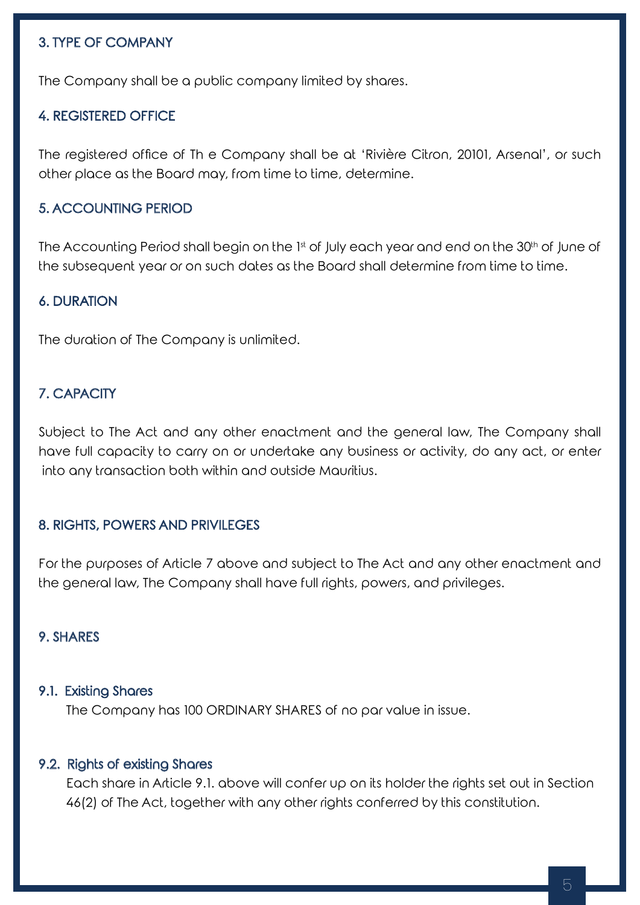## 3. TYPE OF COMPANY

The Company shall be a public company limited by shares.

#### 4. REGISTERED OFFICE

The registered office of Th e Company shall be at 'Rivière Citron, 20101, Arsenal', or such other place as the Board may, from time to time, determine.

#### 5. ACCOUNTING PERIOD

The Accounting Period shall begin on the 1st of July each year and end on the 30<sup>th</sup> of June of the subsequent year or on such dates as the Board shall determine from time to time.

## 6. DURATION

The duration of The Company is unlimited.

#### 7. CAPACITY

Subject to The Act and any other enactment and the general law, The Company shall have full capacity to carry on or undertake any business or activity, do any act, or enter into any transaction both within and outside Mauritius.

#### 8. RIGHTS, POWERS AND PRIVILEGES

For the purposes of Article 7 above and subject to The Act and any other enactment and the general law, The Company shall have full rights, powers, and privileges.

#### 9. SHARES

#### 9.1. Existing Shares

The Company has 100 ORDINARY SHARES of no par value in issue.

#### 9.2. Rights of existing Shares

 Each share in Article 9.1. above will confer up on its holder the rights set out in Section 46(2) of The Act, together with any other rights conferred by this constitution.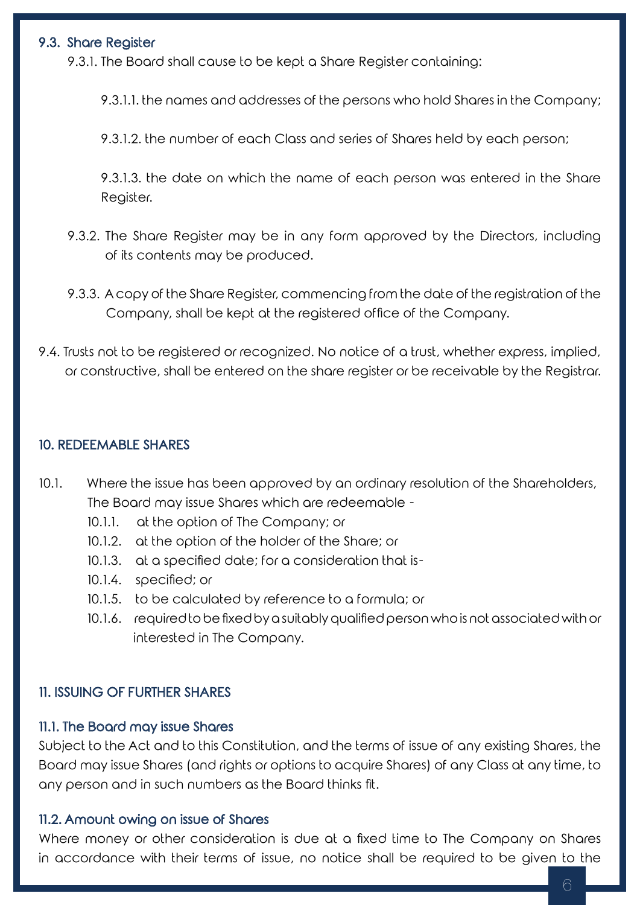## 9.3. Share Register

9.3.1. The Board shall cause to be kept a Share Register containing:

9.3.1.1. the names and addresses of the persons who hold Shares in the Company;

9.3.1.2. the number of each Class and series of Shares held by each person;

9.3.1.3. the date on which the name of each person was entered in the Share Register.

- 9.3.2. The Share Register may be in any form approved by the Directors, including of its contents may be produced.
- 9.3.3. A copy of the Share Register, commencing from the date of the registration of the Company, shall be kept at the registered office of the Company.
- 9.4. Trusts not to be registered or recognized. No notice of a trust, whether express, implied, or constructive, shall be entered on the share register or be receivable by the Registrar.

#### 10. REDEEMABLE SHARES

- 10.1. Where the issue has been approved by an ordinary resolution of the Shareholders, The Board may issue Shares which are redeemable -
	- 10.1.1. at the option of The Company; or
	- 10.1.2. at the option of the holder of the Share; or
	- 10.1.3. at a specified date; for a consideration that is-
	- 10.1.4. specified; or
	- 10.1.5. to be calculated by reference to a formula; or
	- 10.1.6. required to be fixed by a suitably qualified person who is not associated with or interested in The Company.

### 11. ISSUING OF FURTHER SHARES

#### 11.1. The Board may issue Shares

Subject to the Act and to this Constitution, and the terms of issue of any existing Shares, the Board may issue Shares (and rights or options to acquire Shares) of any Class at any time, to any person and in such numbers as the Board thinks fit.

#### 11.2. Amount owing on issue of Shares

Where money or other consideration is due at a fixed time to The Company on Shares in accordance with their terms of issue, no notice shall be required to be given to the

6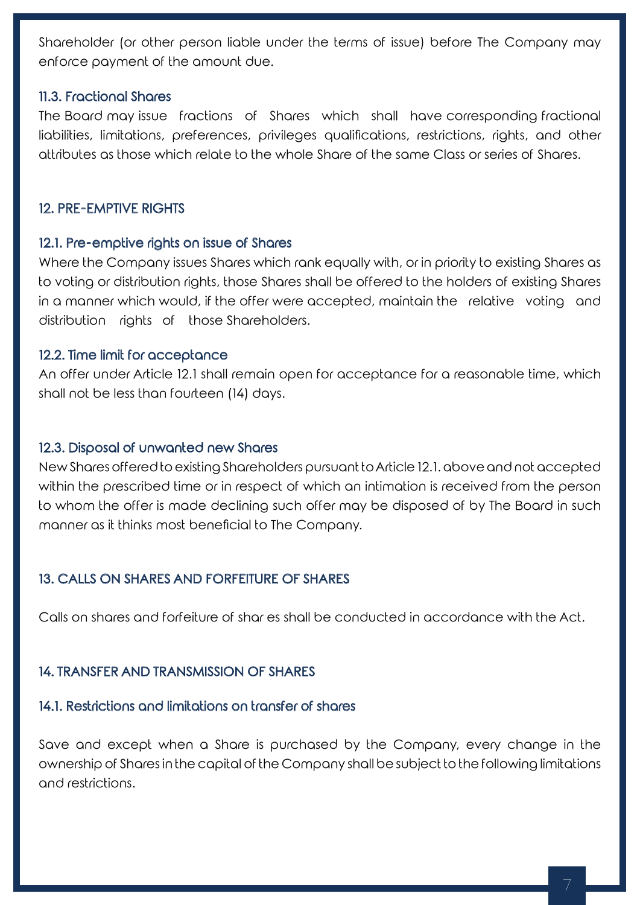Shareholder (or other person liable under the terms of issue) before The Company may enforce payment of the amount due.

## 11.3. Fractional Shares

The Board may issue fractions of Shares which shall have corresponding fractional liabilities, limitations, preferences, privileges qualifications, restrictions, rights, and other attributes as those which relate to the whole Share of the same Class or series of Shares.

## 12. PRE-EMPTIVE RIGHTS

## 12.1. Pre-emptive rights on issue of Shares

Where the Company issues Shares which rank equally with, or in priority to existing Shares as to voting or distribution rights, those Shares shall be offered to the holders of existing Shares in a manner which would, if the offer were accepted, maintain the relative voting and distribution rights of those Shareholders.

## 12.2. Time limit for acceptance

An offer under Article 12.1 shall remain open for acceptance for a reasonable time, which shall not be less than fourteen (14) days.

## 12.3. Disposal of unwanted new Shares

New Shares offered to existing Shareholders pursuant to Article 12.1. above and not accepted within the prescribed time or in respect of which an intimation is received from the person to whom the offer is made declining such offer may be disposed of by The Board in such manner as it thinks most beneficial to The Company.

# 13. CALLS ON SHARES AND FORFEITURE OF SHARES

Calls on shares and forfeiture of shar es shall be conducted in accordance with the Act.

## 14. TRANSFER AND TRANSMISSION OF SHARES

# 14.1. Restrictions and limitations on transfer of shares

Save and except when a Share is purchased by the Company, every change in the ownership of Shares in the capital of the Company shall be subject to the following limitations and restrictions.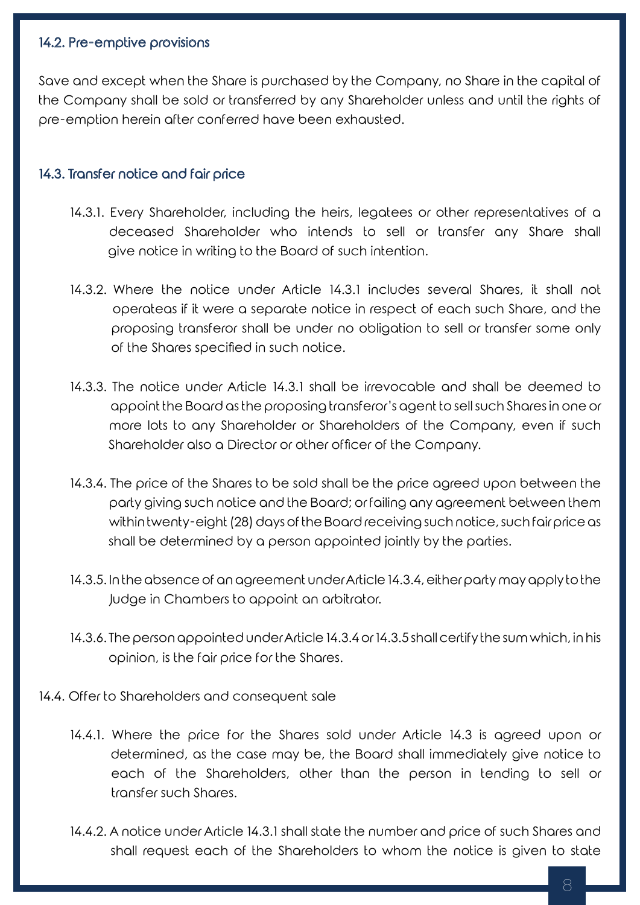## 14.2. Pre-emptive provisions

Save and except when the Share is purchased by the Company, no Share in the capital of the Company shall be sold or transferred by any Shareholder unless and until the rights of pre-emption herein after conferred have been exhausted.

## 14.3. Transfer notice and fair price

- 14.3.1. Every Shareholder, including the heirs, legatees or other representatives of a deceased Shareholder who intends to sell or transfer any Share shall give notice in writing to the Board of such intention.
- 14.3.2. Where the notice under Article 14.3.1 includes several Shares, it shall not operateas if it were a separate notice in respect of each such Share, and the proposing transferor shall be under no obligation to sell or transfer some only of the Shares specified in such notice.
- 14.3.3. The notice under Article 14.3.1 shall be irrevocable and shall be deemed to appoint the Board as the proposing transferor's agent to sell such Shares in one or more lots to any Shareholder or Shareholders of the Company, even if such Shareholder also a Director or other officer of the Company.
- 14.3.4. The price of the Shares to be sold shall be the price agreed upon between the party giving such notice and the Board; or failing any agreement between them within twenty-eight (28) days of the Board receiving such notice, such fair price as shall be determined by a person appointed jointly by the parties.
- 14.3.5. In the absence of an agreement under Article 14.3.4, either party may apply to the Judge in Chambers to appoint an arbitrator.
- 14.3.6. The person appointed under Article 14.3.4 or 14.3.5 shall certify the sum which, in his opinion, is the fair price for the Shares.
- 14.4. Offer to Shareholders and consequent sale
	- 14.4.1. Where the price for the Shares sold under Article 14.3 is agreed upon or determined, as the case may be, the Board shall immediately give notice to each of the Shareholders, other than the person in tending to sell or transfer such Shares.
	- 14.4.2. A notice under Article 14.3.1 shall state the number and price of such Shares and shall request each of the Shareholders to whom the notice is given to state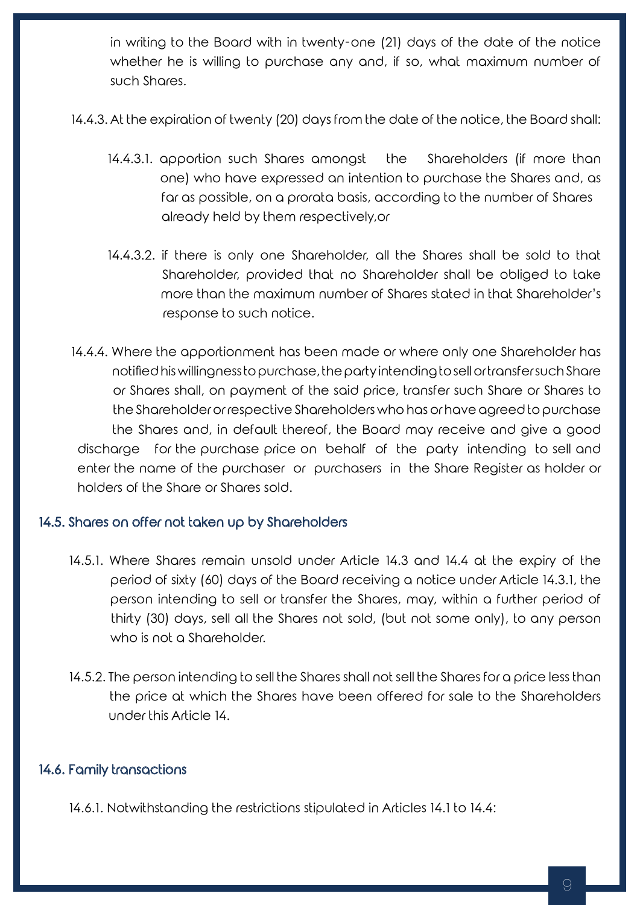in writing to the Board with in twenty-one (21) days of the date of the notice whether he is willing to purchase any and, if so, what maximum number of such Shares.

- 14.4.3. At the expiration of twenty (20) days from the date of the notice, the Board shall:
	- 14.4.3.1. apportion such Shares amongst the Shareholders (if more than one) who have expressed an intention to purchase the Shares and, as far as possible, on a prorata basis, according to the number of Shares already held by them respectively,or
	- 14.4.3.2. if there is only one Shareholder, all the Shares shall be sold to that Shareholder, provided that no Shareholder shall be obliged to take more than the maximum number of Shares stated in that Shareholder's response to such notice.
- 14.4.4. Where the apportionment has been made or where only one Shareholder has notified his willingness to purchase, the party intending to sell or transfer such Share or Shares shall, on payment of the said price, transfer such Share or Shares to the Shareholder or respective Shareholders who has or have agreed to purchase the Shares and, in default thereof, the Board may receive and give a good discharge for the purchase price on behalf of the party intending to sell and enter the name of the purchaser or purchasers in the Share Register as holder or holders of the Share or Shares sold.

### 14.5. Shares on offer not taken up by Shareholders

- 14.5.1. Where Shares remain unsold under Article 14.3 and 14.4 at the expiry of the period of sixty (60) days of the Board receiving a notice under Article 14.3.1, the person intending to sell or transfer the Shares, may, within a further period of thirty (30) days, sell all the Shares not sold, (but not some only), to any person who is not a Shareholder.
- 14.5.2. The person intending to sell the Shares shall not sell the Shares for a price less than the price at which the Shares have been offered for sale to the Shareholders under this Article 14.

## 14.6. Family transactions

14.6.1. Notwithstanding the restrictions stipulated in Articles 14.1 to 14.4: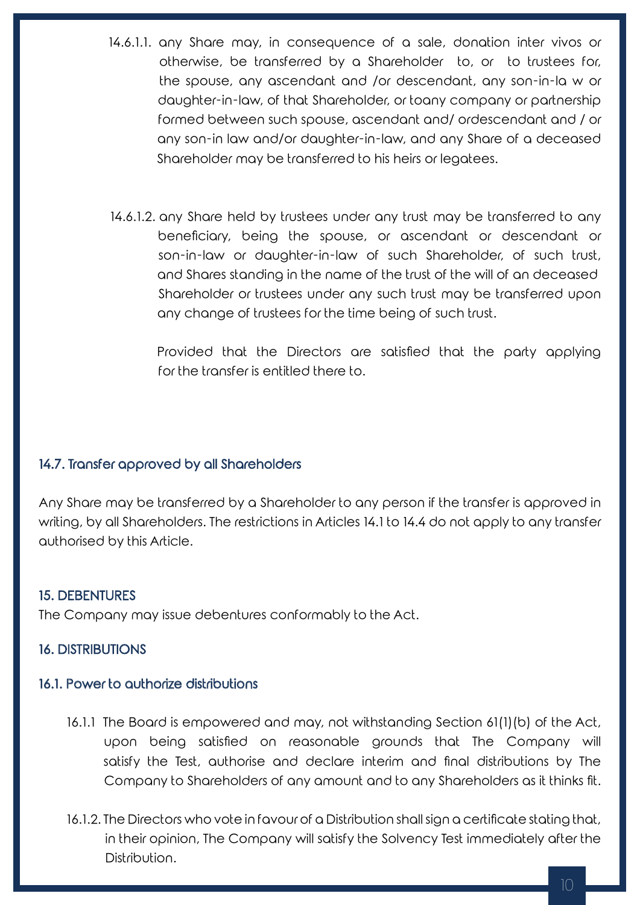- 14.6.1.1. any Share may, in consequence of a sale, donation inter vivos or otherwise, be transferred by a Shareholder to, or to trustees for, the spouse, any ascendant and /or descendant, any son-in-la w or daughter-in-law, of that Shareholder, or toany company or partnership formed between such spouse, ascendant and/ ordescendant and / or any son-in law and/or daughter-in-law, and any Share of a deceased Shareholder may be transferred to his heirs or legatees.
- 14.6.1.2. any Share held by trustees under any trust may be transferred to any beneficiary, being the spouse, or ascendant or descendant or son-in-law or daughter-in-law of such Shareholder, of such trust, and Shares standing in the name of the trust of the will of an deceased Shareholder or trustees under any such trust may be transferred upon any change of trustees for the time being of such trust.

 Provided that the Directors are satisfied that the party applying for the transfer is entitled there to.

### 14.7. Transfer approved by all Shareholders

Any Share may be transferred by a Shareholder to any person if the transfer is approved in writing, by all Shareholders. The restrictions in Articles 14.1 to 14.4 do not apply to any transfer authorised by this Article.

### 15. DEBENTURES

The Company may issue debentures conformably to the Act.

### 16. DISTRIBUTIONS

#### 16.1. Power to authorize distributions

- 16.1.1 The Board is empowered and may, not withstanding Section 61(1)(b) of the Act, upon being satisfied on reasonable grounds that The Company will satisfy the Test, authorise and declare interim and final distributions by The Company to Shareholders of any amount and to any Shareholders as it thinks fit.
- 16.1.2. The Directors who vote in favour of a Distribution shall sign a certificate stating that, in their opinion, The Company will satisfy the Solvency Test immediately after the Distribution.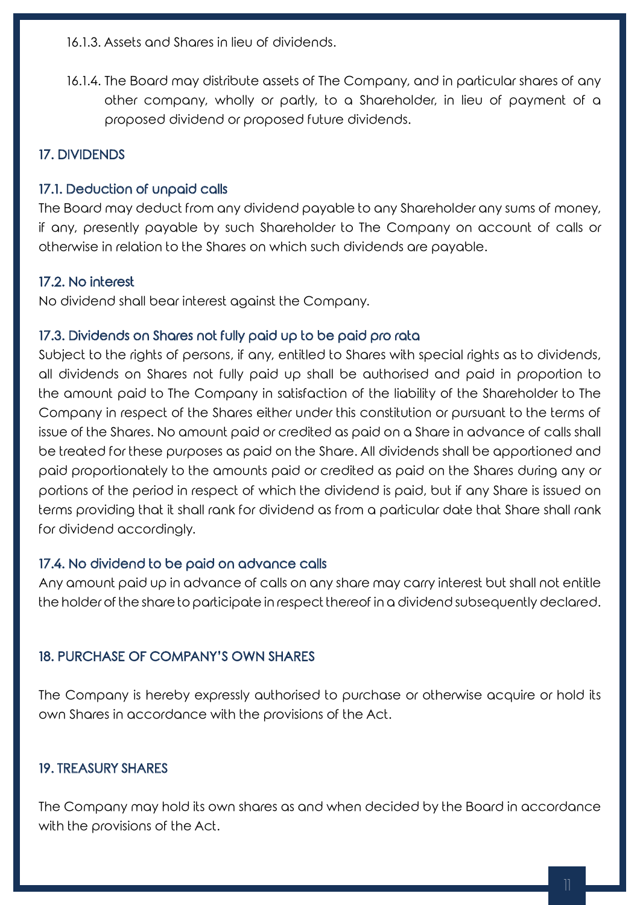16.1.3. Assets and Shares in lieu of dividends.

16.1.4. The Board may distribute assets of The Company, and in particular shares of any other company, wholly or partly, to a Shareholder, in lieu of payment of a proposed dividend or proposed future dividends.

# 17. DIVIDENDS

## 17.1. Deduction of unpaid calls

The Board may deduct from any dividend payable to any Shareholder any sums of money, if any, presently payable by such Shareholder to The Company on account of calls or otherwise in relation to the Shares on which such dividends are payable.

## 17.2. No interest

No dividend shall bear interest against the Company.

## 17.3. Dividends on Shares not fully paid up to be paid pro rata

Subject to the rights of persons, if any, entitled to Shares with special rights as to dividends, all dividends on Shares not fully paid up shall be authorised and paid in proportion to the amount paid to The Company in satisfaction of the liability of the Shareholder to The Company in respect of the Shares either under this constitution or pursuant to the terms of issue of the Shares. No amount paid or credited as paid on a Share in advance of calls shall be treated for these purposes as paid on the Share. All dividends shall be apportioned and paid proportionately to the amounts paid or credited as paid on the Shares during any or portions of the period in respect of which the dividend is paid, but if any Share is issued on terms providing that it shall rank for dividend as from a particular date that Share shall rank for dividend accordingly.

### 17.4. No dividend to be paid on advance calls

Any amount paid up in advance of calls on any share may carry interest but shall not entitle the holder of the share to participate in respect thereof in a dividend subsequently declared.

## 18. PURCHASE OF COMPANY'S OWN SHARES

The Company is hereby expressly authorised to purchase or otherwise acquire or hold its own Shares in accordance with the provisions of the Act.

## 19. TREASURY SHARES

The Company may hold its own shares as and when decided by the Board in accordance with the provisions of the Act.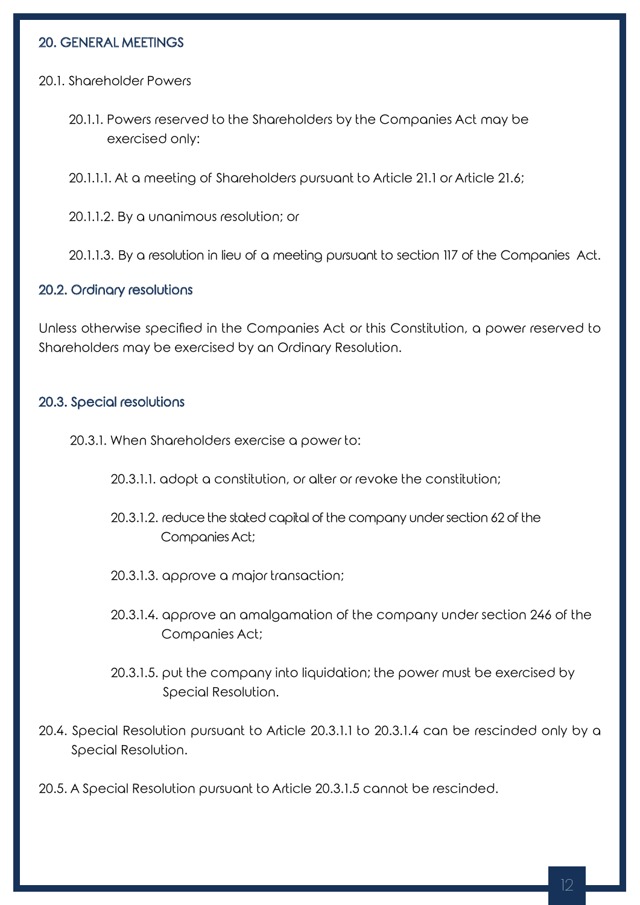## 20. GENERAL MEETINGS

20.1. Shareholder Powers

- 20.1.1. Powers reserved to the Shareholders by the Companies Act may be exercised only:
- 20.1.1.1. At a meeting of Shareholders pursuant to Article 21.1 or Article 21.6;
- 20.1.1.2. By a unanimous resolution; or

20.1.1.3. By a resolution in lieu of a meeting pursuant to section 117 of the Companies Act.

#### 20.2. Ordinary resolutions

Unless otherwise specified in the Companies Act or this Constitution, a power reserved to Shareholders may be exercised by an Ordinary Resolution.

#### 20.3. Special resolutions

- 20.3.1. When Shareholders exercise a power to:
	- 20.3.1.1. adopt a constitution, or alter or revoke the constitution;
	- 20.3.1.2. reduce the stated capital of the company under section 62 of the Companies Act;
	- 20.3.1.3. approve a major transaction;
	- 20.3.1.4. approve an amalgamation of the company under section 246 of the Companies Act;
	- 20.3.1.5. put the company into liquidation; the power must be exercised by Special Resolution.
- 20.4. Special Resolution pursuant to Article 20.3.1.1 to 20.3.1.4 can be rescinded only by a Special Resolution.
- 20.5. A Special Resolution pursuant to Article 20.3.1.5 cannot be rescinded.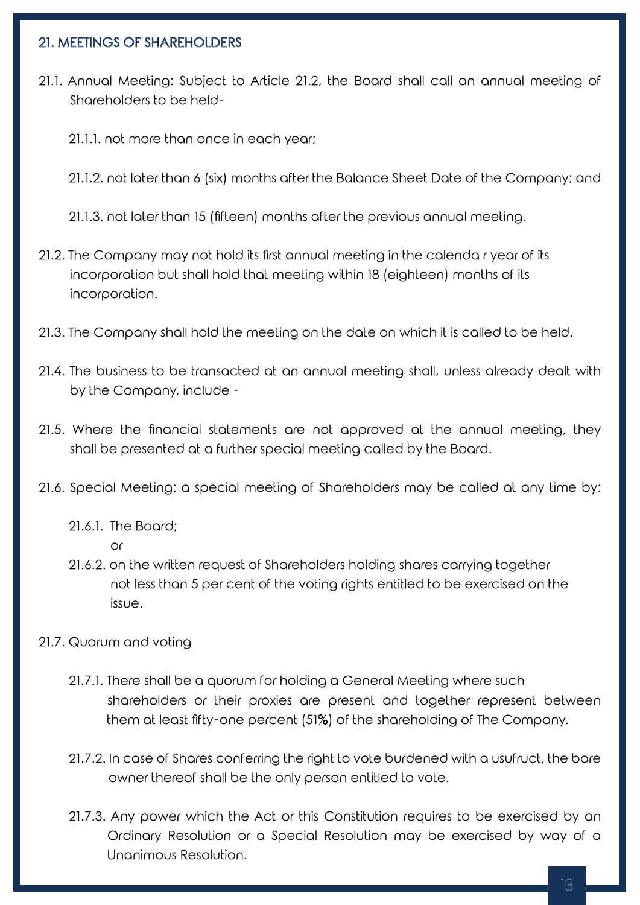## 21. MEETINGS OF SHAREHOLDERS

- 21.1. Annual Meeting: Subject to Article 21.2, the Board shall call an annual meeting of Shareholders to be held-
	- 21.1.1. not more than once in each year;
	- 21.1.2. not later than 6 (six) months after the Balance Sheet Date of the Company; and

21.1.3. not later than 15 (fifteen) months after the previous annual meeting.

- 21.2. The Company may not hold its first annual meeting in the calenda r year of its incorporation but shall hold that meeting within 18 (eighteen) months of its incorporation.
- 21.3. The Company shall hold the meeting on the date on which it is called to be held.
- 21.4. The business to be transacted at an annual meeting shall, unless already dealt with by the Company, include -
- 21.5. Where the financial statements are not approved at the annual meeting, they shall be presented at a further special meeting called by the Board.
- 21.6. Special Meeting: a special meeting of Shareholders may be called at any time by:
	- 21.6.1. The Board;
		- or
	- 21.6.2. on the written request of Shareholders holding shares carrying together not less than 5 per cent of the voting rights entitled to be exercised on the issue.
- 21.7. Quorum and voting
	- 21.7.1. There shall be a quorum for holding a General Meeting where such shareholders or their proxies are present and together represent between them at least fifty-one percent (51%) of the shareholding of The Company.
	- 21.7.2. In case of Shares conferring the right to vote burdened with a usufruct, the bare owner thereof shall be the only person entitled to vote.
	- 21.7.3. Any power which the Act or this Constitution requires to be exercised by an Ordinary Resolution or a Special Resolution may be exercised by way of a Unanimous Resolution.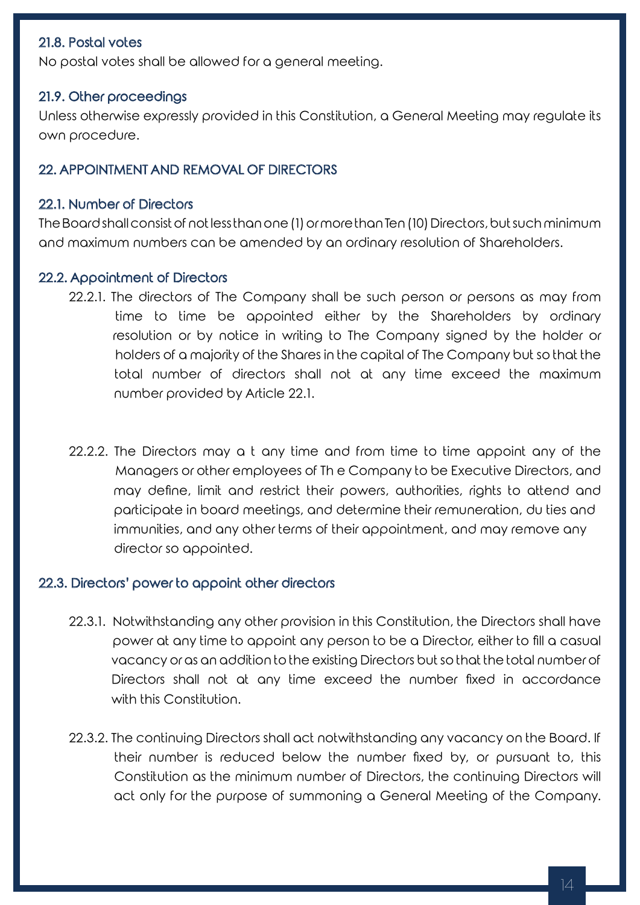## 21.8. Postal votes

No postal votes shall be allowed for a general meeting.

#### 21.9. Other proceedings

Unless otherwise expressly provided in this Constitution, a General Meeting may regulate its own procedure.

#### 22. APPOINTMENT AND REMOVAL OF DIRECTORS

#### 22.1. Number of Directors

The Board shall consist of not less than one (1) or more than Ten (10) Directors, but such minimum and maximum numbers can be amended by an ordinary resolution of Shareholders.

#### 22.2. Appointment of Directors

- 22.2.1. The directors of The Company shall be such person or persons as may from time to time be appointed either by the Shareholders by ordinary resolution or by notice in writing to The Company signed by the holder or holders of a majority of the Shares in the capital of The Company but so that the total number of directors shall not at any time exceed the maximum number provided by Article 22.1.
- 22.2.2. The Directors may a t any time and from time to time appoint any of the Managers or other employees of Th e Company to be Executive Directors, and may define, limit and restrict their powers, authorities, rights to attend and participate in board meetings, and determine their remuneration, du ties and immunities, and any other terms of their appointment, and may remove any director so appointed.

#### 22.3. Directors' power to appoint other directors

- 22.3.1. Notwithstanding any other provision in this Constitution, the Directors shall have power at any time to appoint any person to be a Director, either to fill a casual vacancy or as an addition to the existing Directors but so that the total number of Directors shall not at any time exceed the number fixed in accordance with this Constitution.
- 22.3.2. The continuing Directors shall act notwithstanding any vacancy on the Board. If their number is reduced below the number fixed by, or pursuant to, this Constitution as the minimum number of Directors, the continuing Directors will act only for the purpose of summoning a General Meeting of the Company.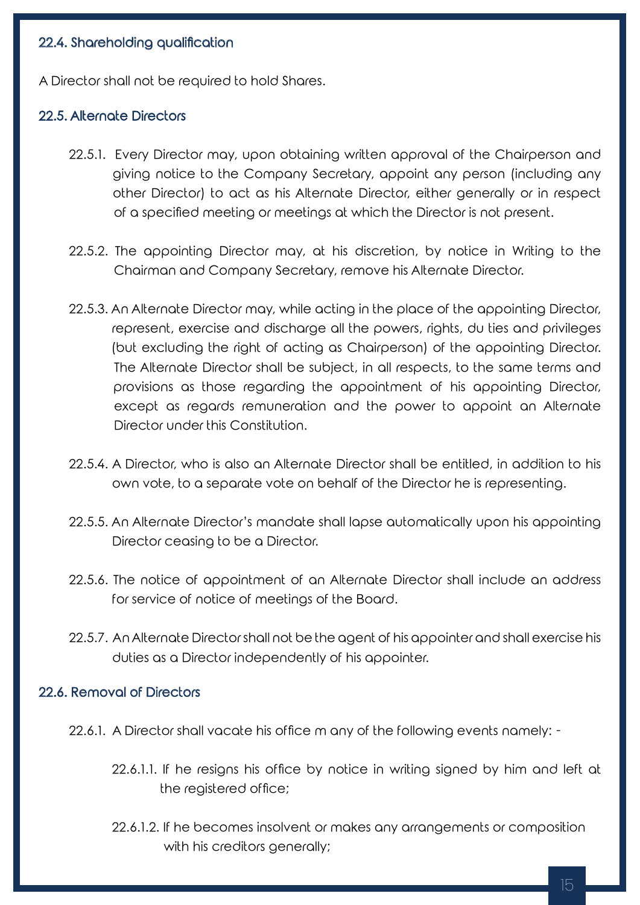## 22.4. Shareholding qualification

A Director shall not be required to hold Shares.

#### 22.5. Alternate Directors

- 22.5.1. Every Director may, upon obtaining written approval of the Chairperson and giving notice to the Company Secretary, appoint any person (including any other Director) to act as his Alternate Director, either generally or in respect of a specified meeting or meetings at which the Director is not present.
- 22.5.2. The appointing Director may, at his discretion, by notice in Writing to the Chairman and Company Secretary, remove his Alternate Director.
- 22.5.3. An Alternate Director may, while acting in the place of the appointing Director, represent, exercise and discharge all the powers, rights, du ties and privileges (but excluding the right of acting as Chairperson) of the appointing Director. The Alternate Director shall be subject, in all respects, to the same terms and provisions as those regarding the appointment of his appointing Director, except as regards remuneration and the power to appoint an Alternate Director under this Constitution.
- 22.5.4. A Director, who is also an Alternate Director shall be entitled, in addition to his own vote, to a separate vote on behalf of the Director he is representing.
- 22.5.5. An Alternate Director's mandate shall lapse automatically upon his appointing Director ceasing to be a Director.
- 22.5.6. The notice of appointment of an Alternate Director shall include an address for service of notice of meetings of the Board.
- 22.5.7. An Alternate Director shall not be the agent of his appointer and shall exercise his duties as a Director independently of his appointer.

#### 22.6. Removal of Directors

- 22.6.1. A Director shall vacate his office m any of the following events namely:
	- 22.6.1.1. If he resigns his office by notice in writing signed by him and left at the registered office;
	- 22.6.1.2. If he becomes insolvent or makes any arrangements or composition with his creditors generally;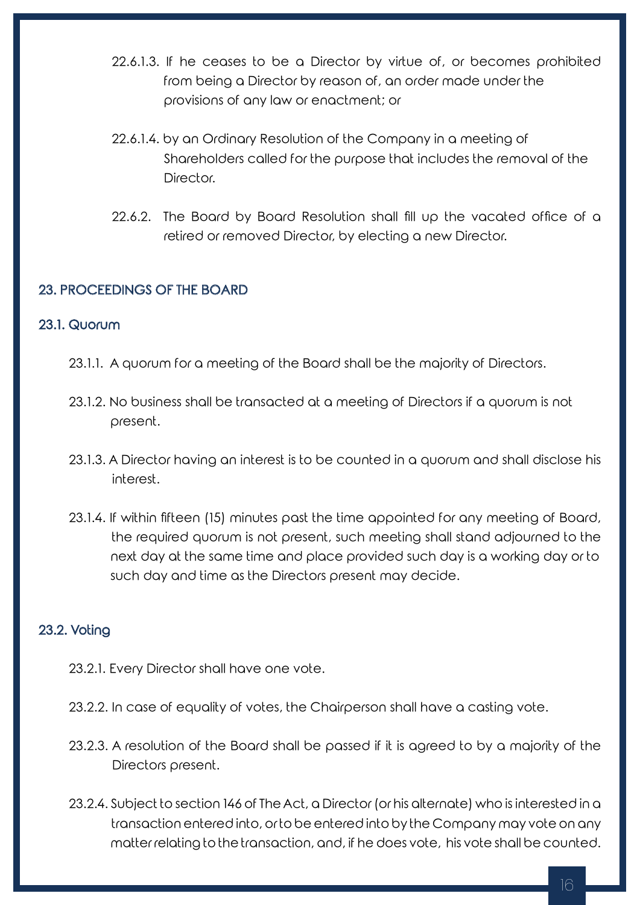- 22.6.1.3. If he ceases to be a Director by virtue of, or becomes prohibited from being a Director by reason of, an order made under the provisions of any law or enactment; or
- 22.6.1.4. by an Ordinary Resolution of the Company in a meeting of Shareholders called for the purpose that includes the removal of the Director.
- 22.6.2. The Board by Board Resolution shall fill up the vacated office of a retired or removed Director, by electing a new Director.

## 23. PROCEEDINGS OF THE BOARD

## 23.1. Quorum

- 23.1.1. A quorum for a meeting of the Board shall be the majority of Directors.
- 23.1.2. No business shall be transacted at a meeting of Directors if a quorum is not present.
- 23.1.3. A Director having an interest is to be counted in a quorum and shall disclose his interest.
- 23.1.4. If within fifteen (15) minutes past the time appointed for any meeting of Board, the required quorum is not present, such meeting shall stand adjourned to the next day at the same time and place provided such day is a working day or to such day and time as the Directors present may decide.

# 23.2. Voting

- 23.2.1. Every Director shall have one vote.
- 23.2.2. In case of equality of votes, the Chairperson shall have a casting vote.
- 23.2.3. A resolution of the Board shall be passed if it is agreed to by a majority of the Directors present.
- 23.2.4. Subject to section 146 of The Act, a Director (or his alternate) who is interested in a transaction entered into, or to be entered into by the Company may vote on any matter relating to the transaction, and, if he does vote, his vote shall be counted.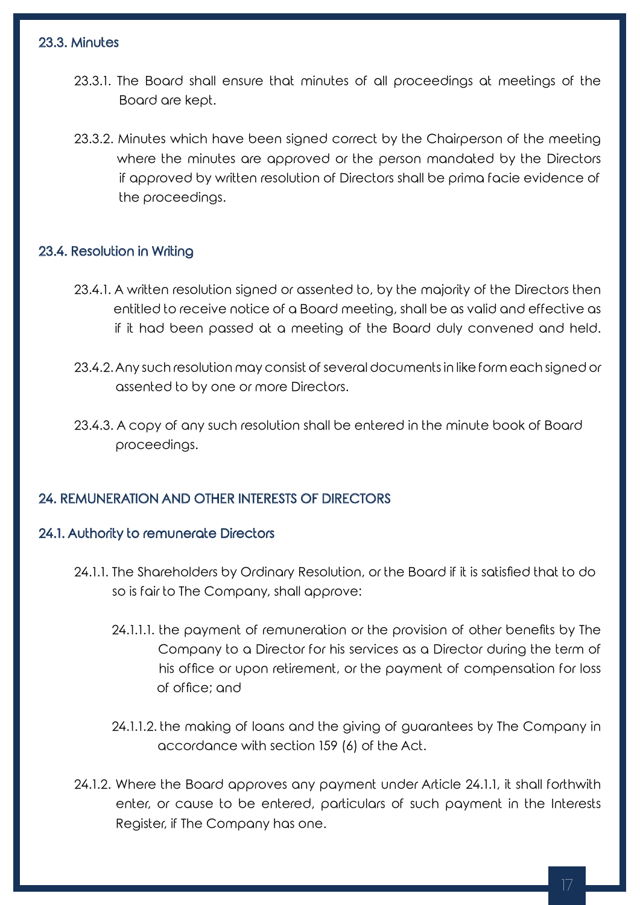## 23.3. Minutes

- 23.3.1. The Board shall ensure that minutes of all proceedings at meetings of the Board are kept.
- 23.3.2. Minutes which have been signed correct by the Chairperson of the meeting where the minutes are approved or the person mandated by the Directors if approved by written resolution of Directors shall be prima facie evidence of the proceedings.

## 23.4. Resolution in Writing

- 23.4.1. A written resolution signed or assented to, by the majority of the Directors then entitled to receive notice of a Board meeting, shall be as valid and effective as if it had been passed at a meeting of the Board duly convened and held.
- 23.4.2. Any such resolution may consist of several documents in like form each signed or assented to by one or more Directors.
- 23.4.3. A copy of any such resolution shall be entered in the minute book of Board proceedings.

## 24. REMUNERATION AND OTHER INTERESTS OF DIRECTORS

### 24.1. Authority to remunerate Directors

- 24.1.1. The Shareholders by Ordinary Resolution, or the Board if it is satisfied that to do so is fair to The Company, shall approve:
	- 24.1.1.1. the payment of remuneration or the provision of other benefits by The Company to a Director for his services as a Director during the term of his office or upon retirement, or the payment of compensation for loss of office; and
	- 24.1.1.2. the making of loans and the giving of guarantees by The Company in accordance with section 159 (6) of the Act.
- 24.1.2. Where the Board approves any payment under Article 24.1.1, it shall forthwith enter, or cause to be entered, particulars of such payment in the Interests Register, if The Company has one.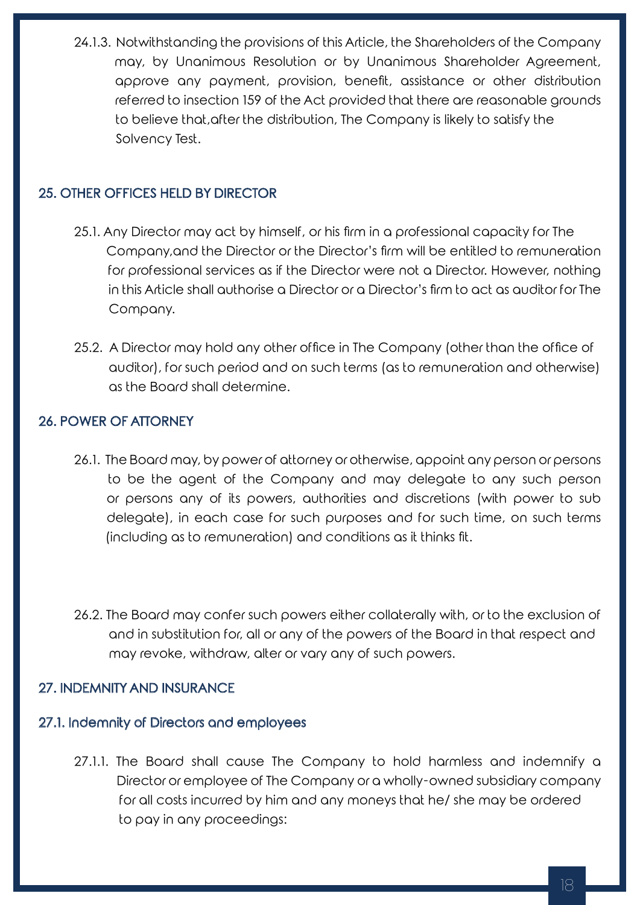24.1.3. Notwithstanding the provisions of this Article, the Shareholders of the Company may, by Unanimous Resolution or by Unanimous Shareholder Agreement, approve any payment, provision, benefit, assistance or other distribution referred to insection 159 of the Act provided that there are reasonable grounds to believe that,after the distribution, The Company is likely to satisfy the Solvency Test.

# 25. OTHER OFFICES HELD BY DIRECTOR

- 25.1. Any Director may act by himself, or his firm in a professional capacity for The Company,and the Director or the Director's firm will be entitled to remuneration for professional services as if the Director were not a Director. However, nothing in this Article shall authorise a Director or a Director's firm to act as auditor for The Company.
- 25.2. A Director may hold any other office in The Company (other than the office of auditor), for such period and on such terms (as to remuneration and otherwise) as the Board shall determine.

## 26. POWER OF ATTORNEY

- 26.1. The Board may, by power of attorney or otherwise, appoint any person or persons to be the agent of the Company and may delegate to any such person or persons any of its powers, authorities and discretions (with power to sub delegate), in each case for such purposes and for such time, on such terms (including as to remuneration) and conditions as it thinks fit.
- 26.2. The Board may confer such powers either collaterally with, or to the exclusion of and in substitution for, all or any of the powers of the Board in that respect and may revoke, withdraw, alter or vary any of such powers.

# 27. INDEMNITY AND INSURANCE

# 27.1. Indemnity of Directors and employees

27.1.1. The Board shall cause The Company to hold harmless and indemnify a Director or employee of The Company or a wholly-owned subsidiary company for all costs incurred by him and any moneys that he/ she may be ordered to pay in any proceedings: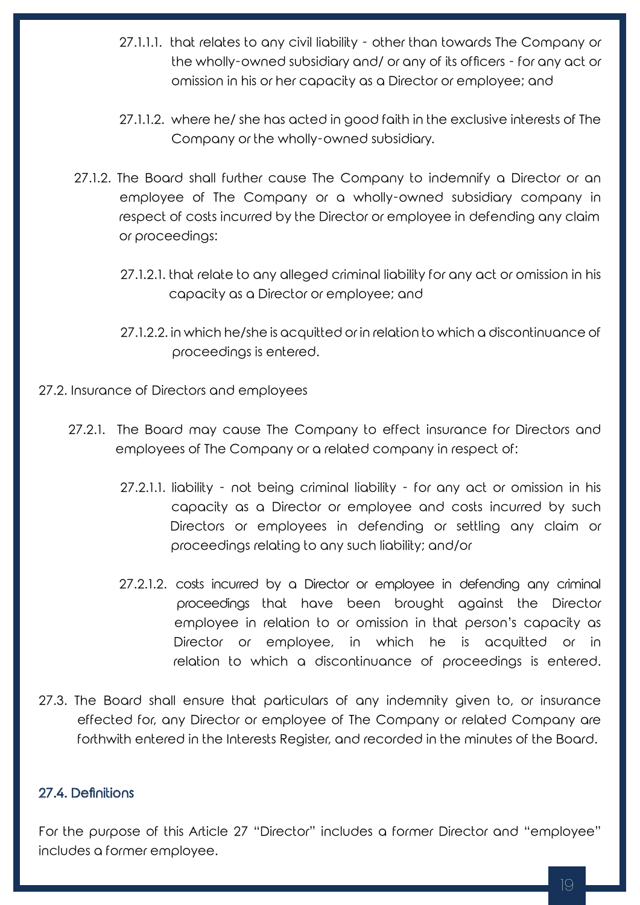- 27.1.1.1. that relates to any civil liability other than towards The Company or the wholly-owned subsidiary and/ or any of its officers - for any act or omission in his or her capacity as a Director or employee; and
- 27.1.1.2. where he/ she has acted in good faith in the exclusive interests of The Company or the wholly-owned subsidiary.
- 27.1.2. The Board shall further cause The Company to indemnify a Director or an employee of The Company or a wholly-owned subsidiary company in respect of costs incurred by the Director or employee in defending any claim or proceedings:
	- 27.1.2.1. that relate to any alleged criminal liability for any act or omission in his capacity as a Director or employee; and
	- 27.1.2.2. in which he/she is acquitted or in relation to which a discontinuance of proceedings is entered.
- 27.2. Insurance of Directors and employees
	- 27.2.1. The Board may cause The Company to effect insurance for Directors and employees of The Company or a related company in respect of:
		- 27.2.1.1. liability not being criminal liability for any act or omission in his capacity as a Director or employee and costs incurred by such Directors or employees in defending or settling any claim or proceedings relating to any such liability; and/or
		- 27.2.1.2. costs incurred by a Director or employee in defending any criminal proceedings that have been brought against the Director employee in relation to or omission in that person's capacity as Director or employee, in which he is acquitted or in relation to which a discontinuance of proceedings is entered.
- 27.3. The Board shall ensure that particulars of any indemnity given to, or insurance effected for, any Director or employee of The Company or related Company are forthwith entered in the Interests Register, and recorded in the minutes of the Board.

## 27.4. Definitions

For the purpose of this Article 27 "Director" includes a former Director and "employee" includes a former employee.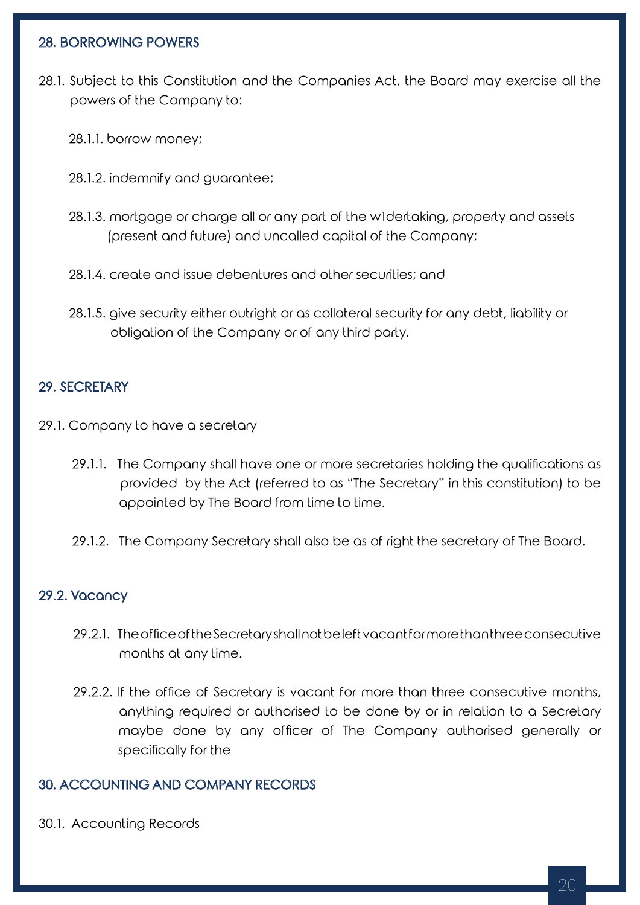## 28. BORROWING POWERS

- 28.1. Subject to this Constitution and the Companies Act, the Board may exercise all the powers of the Company to:
	- 28.1.1. borrow money;
	- 28.1.2. indemnify and guarantee;
	- 28.1.3. mortgage or charge all or any part of the w1dertaking, property and assets (present and future) and uncalled capital of the Company;
	- 28.1.4. create and issue debentures and other securities; and
	- 28.1.5. give security either outright or as collateral security for any debt, liability or obligation of the Company or of any third party.

## 29. SECRETARY

- 29.1. Company to have a secretary
	- 29.1.1. The Company shall have one or more secretaries holding the qualifications as provided by the Act (referred to as "The Secretary" in this constitution) to be appointed by The Board from time to time.
	- 29.1.2. The Company Secretary shall also be as of right the secretary of The Board.

### 29.2. Vacancy

- 29.2.1. The office of the Secretary shall not be left vacant for more than three consecutive months at any time.
- 29.2.2. If the office of Secretary is vacant for more than three consecutive months, anything required or authorised to be done by or in relation to a Secretary maybe done by any officer of The Company authorised generally or specifically for the

### 30. ACCOUNTING AND COMPANY RECORDS

30.1. Accounting Records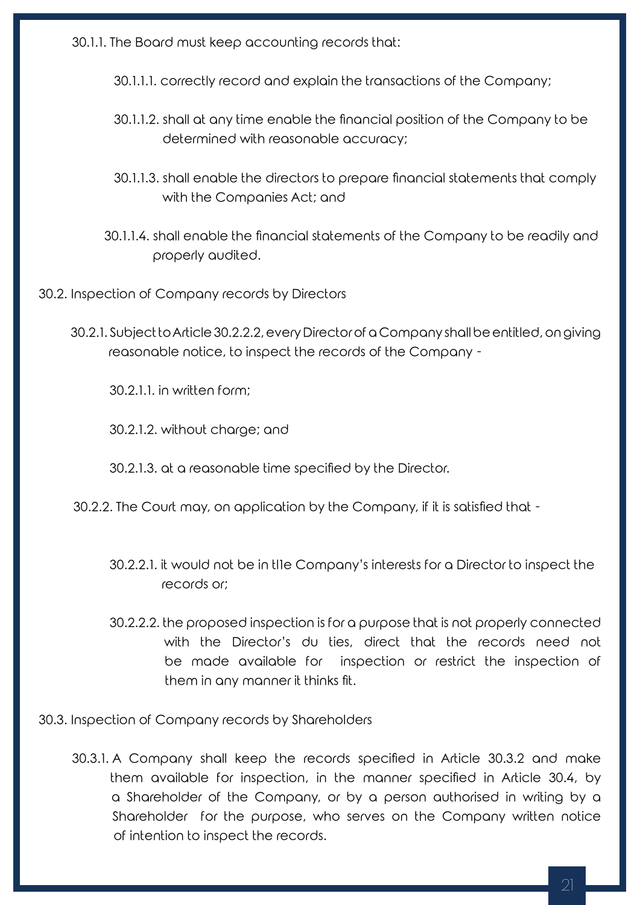30.1.1. The Board must keep accounting records that:

30.1.1.1. correctly record and explain the transactions of the Company;

- 30.1.1.2. shall at any time enable the financial position of the Company to be determined with reasonable accuracy;
- 30.1.1.3. shall enable the directors to prepare financial statements that comply with the Companies Act; and
- 30.1.1.4. shall enable the financial statements of the Company to be readily and properly audited.
- 30.2. Inspection of Company records by Directors
	- 30.2.1. Subject to Article 30.2.2.2, every Director of a Company shall be entitled, on giving reasonable notice, to inspect the records of the Company -

30.2.1.1. in written form;

30.2.1.2. without charge; and

30.2.1.3. at a reasonable time specified by the Director.

- 30.2.2. The Court may, on application by the Company, if it is satisfied that
	- 30.2.2.1. it would not be in tl1e Company's interests for a Director to inspect the records or;
	- 30.2.2.2. the proposed inspection is for a purpose that is not properly connected with the Director's du ties, direct that the records need not be made available for inspection or restrict the inspection of them in any manner it thinks fit.
- 30.3. Inspection of Company records by Shareholders
	- 30.3.1. A Company shall keep the records specified in Article 30.3.2 and make them available for inspection, in the manner specified in Article 30.4, by a Shareholder of the Company, or by a person authorised in writing by a Shareholder for the purpose, who serves on the Company written notice of intention to inspect the records.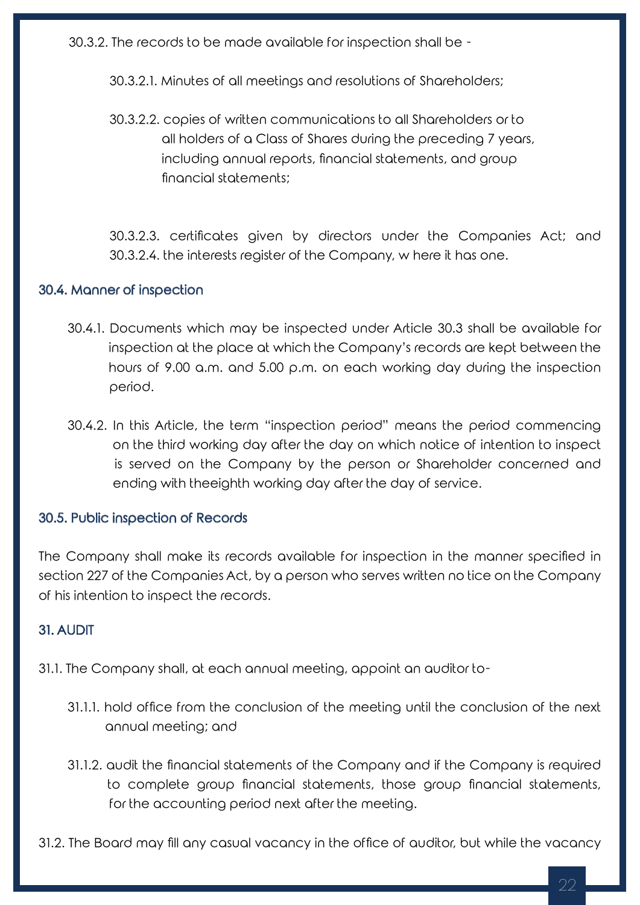30.3.2. The records to be made available for inspection shall be -

30.3.2.1. Minutes of all meetings and resolutions of Shareholders;

30.3.2.2. copies of written communications to all Shareholders or to all holders of a Class of Shares during the preceding 7 years, including annual reports, financial statements, and group financial statements;

30.3.2.3. certificates given by directors under the Companies Act; and 30.3.2.4. the interests register of the Company, w here it has one.

## 30.4. Manner of inspection

- 30.4.1. Documents which may be inspected under Article 30.3 shall be available for inspection at the place at which the Company's records are kept between the hours of 9.00 a.m. and 5.00 p.m. on each working day during the inspection period.
- 30.4.2. In this Article, the term "inspection period" means the period commencing on the third working day after the day on which notice of intention to inspect is served on the Company by the person or Shareholder concerned and ending with theeighth working day after the day of service.

## 30.5. Public inspection of Records

The Company shall make its records available for inspection in the manner specified in section 227 of the Companies Act, by a person who serves written no tice on the Company of his intention to inspect the records.

# 31. AUDIT

31.1. The Company shall, at each annual meeting, appoint an auditor to-

- 31.1.1. hold office from the conclusion of the meeting until the conclusion of the next annual meeting; and
- 31.1.2. audit the financial statements of the Company and if the Company is required to complete group financial statements, those group financial statements, for the accounting period next after the meeting.

31.2. The Board may fill any casual vacancy in the office of auditor, but while the vacancy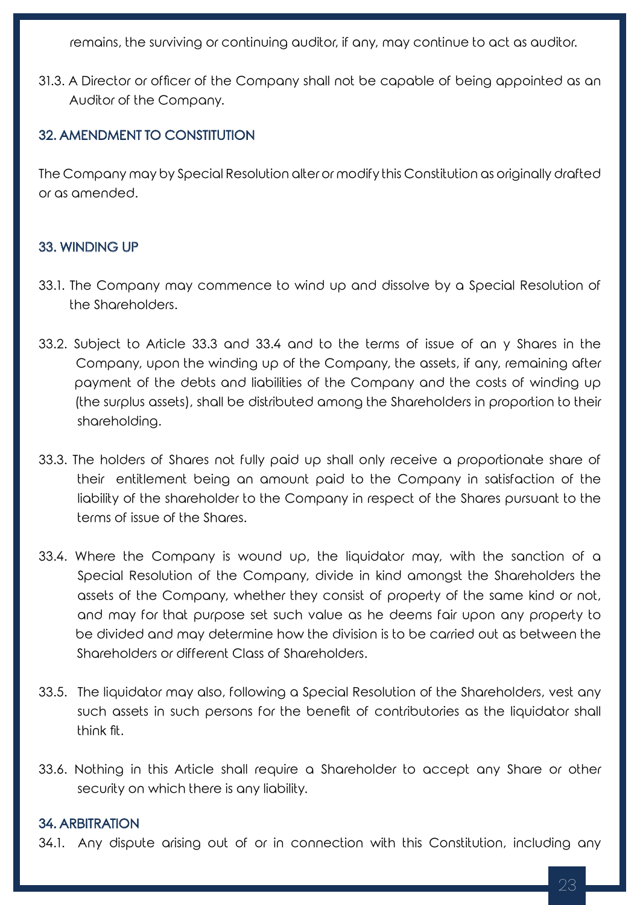remains, the surviving or continuing auditor, if any, may continue to act as auditor.

31.3. A Director or officer of the Company shall not be capable of being appointed as an Auditor of the Company.

## 32. AMENDMENT TO CONSTITUTION

The Company may by Special Resolution alter or modify this Constitution as originally drafted or as amended.

## 33. WINDING UP

- 33.1. The Company may commence to wind up and dissolve by a Special Resolution of the Shareholders.
- 33.2. Subject to Article 33.3 and 33.4 and to the terms of issue of an y Shares in the Company, upon the winding up of the Company, the assets, if any, remaining after payment of the debts and liabilities of the Company and the costs of winding up (the surplus assets), shall be distributed among the Shareholders in proportion to their shareholding.
- 33.3. The holders of Shares not fully paid up shall only receive a proportionate share of their entitlement being an amount paid to the Company in satisfaction of the liability of the shareholder to the Company in respect of the Shares pursuant to the terms of issue of the Shares.
- 33.4. Where the Company is wound up, the liquidator may, with the sanction of a Special Resolution of the Company, divide in kind amongst the Shareholders the assets of the Company, whether they consist of property of the same kind or not, and may for that purpose set such value as he deems fair upon any property to be divided and may determine how the division is to be carried out as between the Shareholders or different Class of Shareholders.
- 33.5. The liquidator may also, following a Special Resolution of the Shareholders, vest any such assets in such persons for the benefit of contributories as the liquidator shall think fit.
- 33.6. Nothing in this Article shall require a Shareholder to accept any Share or other security on which there is any liability.

## 34. ARBITRATION

34.1. Any dispute arising out of or in connection with this Constitution, including any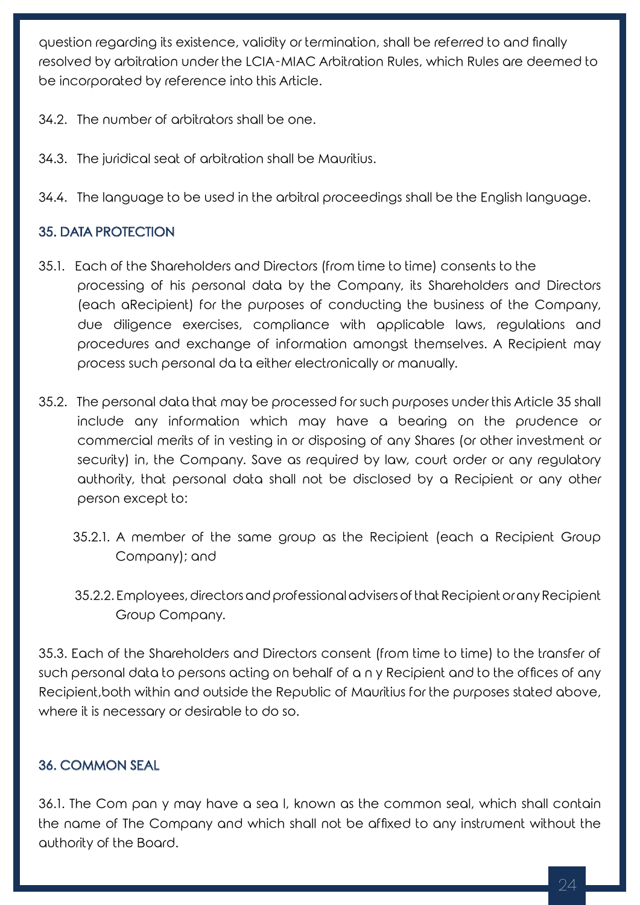question regarding its existence, validity or termination, shall be referred to and finally resolved by arbitration under the LCIA-MIAC Arbitration Rules, which Rules are deemed to be incorporated by reference into this Article.

- 34.2. The number of arbitrators shall be one.
- 34.3. The juridical seat of arbitration shall be Mauritius.
- 34.4. The language to be used in the arbitral proceedings shall be the English language.

# 35. DATA PROTECTION

- 35.1. Each of the Shareholders and Directors (from time to time) consents to the processing of his personal data by the Company, its Shareholders and Directors (each aRecipient) for the purposes of conducting the business of the Company, due diligence exercises, compliance with applicable laws, regulations and procedures and exchange of information amongst themselves. A Recipient may process such personal da ta either electronically or manually.
- 35.2. The personal data that may be processed for such purposes under this Article 35 shall include any information which may have a bearing on the prudence or commercial merits of in vesting in or disposing of any Shares (or other investment or security) in, the Company. Save as required by law, court order or any regulatory authority, that personal data shall not be disclosed by a Recipient or any other person except to:
	- 35.2.1. A member of the same group as the Recipient (each a Recipient Group Company); and
	- 35.2.2. Employees, directors and professional advisers of that Recipient or any Recipient Group Company.

35.3. Each of the Shareholders and Directors consent (from time to time) to the transfer of such personal data to persons acting on behalf of a n y Recipient and to the offices of any Recipient,both within and outside the Republic of Mauritius for the purposes stated above, where it is necessary or desirable to do so.

# 36. COMMON SEAL

36.1. The Com pan y may have a sea l, known as the common seal, which shall contain the name of The Company and which shall not be affixed to any instrument without the authority of the Board.